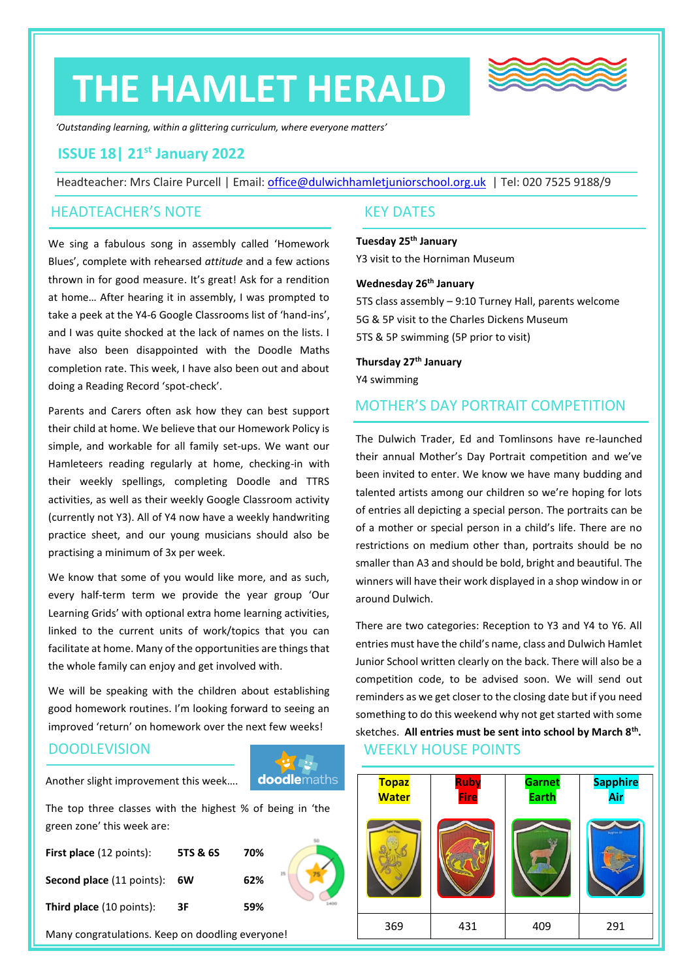# **THE HAMLET HERALD**



*'Outstanding learning, within a glittering curriculum, where everyone matters'*

### **ISSUE 18| 21st January 2022**

Headteacher: Mrs Claire Purcell | Email: [office@dulwichhamletjuniorschool.org.uk](mailto:office@dulwichhamletjuniorschool.org.uk) | Tel: 020 7525 9188/9

#### HEADTEACHER'S NOTE

We sing a fabulous song in assembly called 'Homework Blues', complete with rehearsed *attitude* and a few actions thrown in for good measure. It's great! Ask for a rendition at home… After hearing it in assembly, I was prompted to take a peek at the Y4-6 Google Classrooms list of 'hand-ins', and I was quite shocked at the lack of names on the lists. I have also been disappointed with the Doodle Maths completion rate. This week, I have also been out and about doing a Reading Record 'spot-check'.

Parents and Carers often ask how they can best support their child at home. We believe that our Homework Policy is simple, and workable for all family set-ups. We want our Hamleteers reading regularly at home, checking-in with their weekly spellings, completing Doodle and TTRS activities, as well as their weekly Google Classroom activity (currently not Y3). All of Y4 now have a weekly handwriting practice sheet, and our young musicians should also be practising a minimum of 3x per week.

We know that some of you would like more, and as such, every half-term term we provide the year group 'Our Learning Grids' with optional extra home learning activities, linked to the current units of work/topics that you can facilitate at home. Many of the opportunities are things that the whole family can enjoy and get involved with.

We will be speaking with the children about establishing good homework routines. I'm looking forward to seeing an improved 'return' on homework over the next few weeks!

#### **DOODLEVISION**

**doodlemaths** Another slight improvement this week….

The top three classes with the highest % of being in 'the green zone' this week are:

| <b>First place</b> (12 points):     | 5TS & 6S | 70% |  |
|-------------------------------------|----------|-----|--|
| <b>Second place</b> (11 points): 6W |          | 62% |  |
| <b>Third place</b> (10 points):     | 3F       | 59% |  |

Many congratulations. Keep on doodling everyone!

#### KEY DATES

**Tuesday 25th January** Y3 visit to the Horniman Museum

#### **Wednesday 26 th January**

5TS class assembly – 9:10 Turney Hall, parents welcome 5G & 5P visit to the Charles Dickens Museum 5TS & 5P swimming (5P prior to visit)

**Thursday 27th January** Y4 swimming

### MOTHER'S DAY PORTRAIT COMPETITION

The Dulwich Trader, Ed and Tomlinsons have re-launched their annual Mother's Day Portrait competition and we've been invited to enter. We know we have many budding and talented artists among our children so we're hoping for lots of entries all depicting a special person. The portraits can be of a mother or special person in a child's life. There are no restrictions on medium other than, portraits should be no smaller than A3 and should be bold, bright and beautiful. The winners will have their work displayed in a shop window in or around Dulwich.

WEEKLY HOUSE POINTS There are two categories: Reception to Y3 and Y4 to Y6. All entries must have the child's name, class and Dulwich Hamlet Junior School written clearly on the back. There will also be a competition code, to be advised soon. We will send out reminders as we get closer to the closing date but if you need something to do this weekend why not get started with some sketches. **All entries must be sent into school by March 8th .**

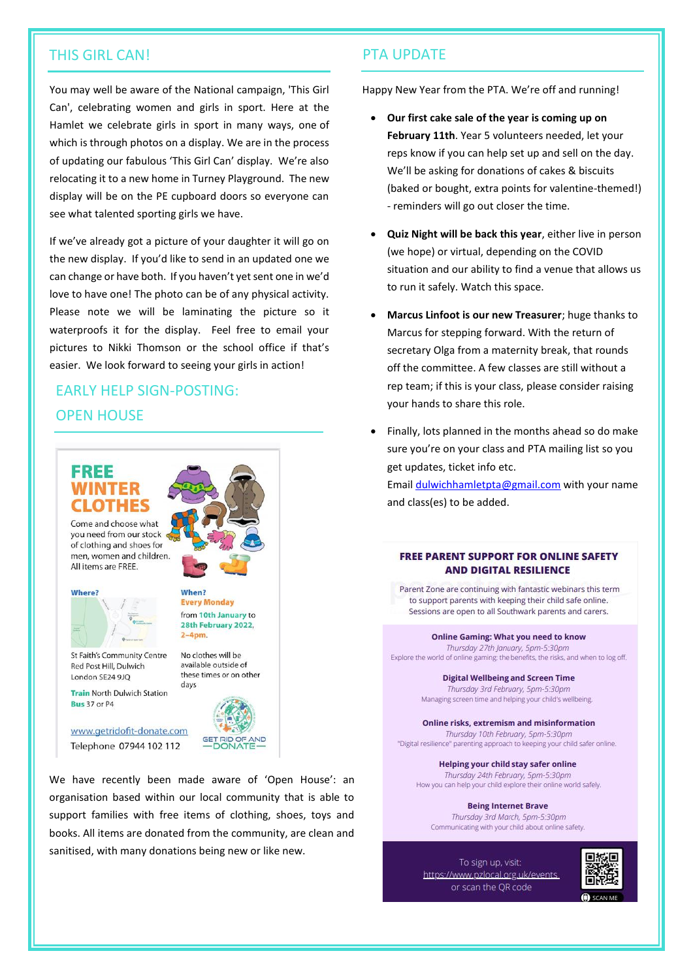#### THIS GIRL CAN! PTA UPDATE

You may well be aware of the National campaign, 'This Girl Can', celebrating women and girls in sport. Here at the Hamlet we celebrate girls in sport in many ways, one of which is through photos on a display. We are in the process of updating our fabulous 'This Girl Can' display. We're also relocating it to a new home in Turney Playground. The new display will be on the PE cupboard doors so everyone can see what talented sporting girls we have.

If we've already got a picture of your daughter it will go on the new display. If you'd like to send in an updated one we can change or have both. If you haven't yet sent one in we'd love to have one! The photo can be of any physical activity. Please note we will be laminating the picture so it waterproofs it for the display. Feel free to email your pictures to Nikki Thomson or the school office if that's easier. We look forward to seeing your girls in action!

# EARLY HELP SIGN-POSTING: OPEN HOUSE

# FRFF

Come and choose what you need from our stock of clothing and shoes for men, women and children. All items are FREE.

Where?



St Faith's Community Centre Red Post Hill, Dulwich London SE24 910

**Train North Dulwich Station** 

**Bus 37 or P4** 

No clothes will be available outside of these times or on other days

When?

 $2-4<sub>pm</sub>$ 

**Every Monday** 

from 10th January to 28th February 2022,



www.getridofit-donate.com Telephone 07944 102 112

We have recently been made aware of 'Open House': an organisation based within our local community that is able to support families with free items of clothing, shoes, toys and books. All items are donated from the community, are clean and sanitised, with many donations being new or like new.

Happy New Year from the PTA. We're off and running!

- **Our first cake sale of the year is coming up on February 11th**. Year 5 volunteers needed, let your reps know if you can help set up and sell on the day. We'll be asking for donations of cakes & biscuits (baked or bought, extra points for valentine-themed!) - reminders will go out closer the time.
- **Quiz Night will be back this year**, either live in person (we hope) or virtual, depending on the COVID situation and our ability to find a venue that allows us to run it safely. Watch this space.
- **Marcus Linfoot is our new Treasurer**; huge thanks to Marcus for stepping forward. With the return of secretary Olga from a maternity break, that rounds off the committee. A few classes are still without a rep team; if this is your class, please consider raising your hands to share this role.
- Finally, lots planned in the months ahead so do make sure you're on your class and PTA mailing list so you get updates, ticket info etc. Email [dulwichhamletpta@gmail.com](mailto:dulwichhamletpta@gmail.com) with your name and class(es) to be added.

#### **FREE PARENT SUPPORT FOR ONLINE SAFETY AND DIGITAL RESILIENCE**

Parent Zone are continuing with fantastic webinars this term to support parents with keeping their child safe online. Sessions are open to all Southwark parents and carers.

**Online Gaming: What you need to know** 

#### Thursday 27th January, 5pm-5:30pm Explore the world of online gaming: the benefits, the risks, and when to log off.

**Digital Wellbeing and Screen Time** Thursday 3rd February, 5pm-5:30pm Managing screen time and helping your child's wellbeing.

**Online risks, extremism and misinformation** Thursday 10th February, 5pm-5:30pm "Digital resilience" parenting approach to keeping your child safer online.

Helping your child stay safer online Thursday 24th February, 5pm-5:30pm How you can help your child explore their online world safely.

**Being Internet Brave** Thursday 3rd March, 5pm-5:30pm Communicating with your child about online safety.

To sign up, visit: https://www.pzlocal.org.uk/events or scan the QR code